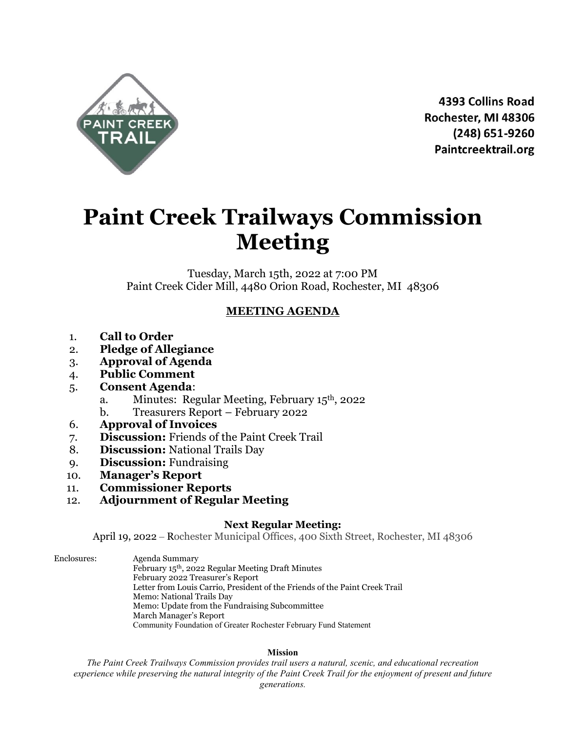

4393 Collins Road Rochester, MI 48306 (248) 651-9260 Paintcreektrail.org

# **Paint Creek Trailways Commission Meeting**

Tuesday, March 15th, 2022 at 7:00 PM Paint Creek Cider Mill, 4480 Orion Road, Rochester, MI 48306

## **MEETING AGENDA**

- 1. **Call to Order**
- 2. **Pledge of Allegiance**
- 3. **Approval of Agenda**
- 4. **Public Comment**
- 5. **Consent Agenda**:
	- a. Minutes: Regular Meeting, February 15th, 2022
	- b. Treasurers Report February 2022
- 6. **Approval of Invoices**
- 7. **Discussion:** Friends of the Paint Creek Trail
- 8. **Discussion:** National Trails Day
- 9. **Discussion:** Fundraising
- 10. **Manager's Report**
- 11. **Commissioner Reports**
- 12. **Adjournment of Regular Meeting**

### **Next Regular Meeting:**

April 19, 2022 – Rochester Municipal Offices, 400 Sixth Street, Rochester, MI 48306

Enclosures: Agenda Summary February 15th, 2022 Regular Meeting Draft Minutes February 2022 Treasurer's Report Letter from Louis Carrio, President of the Friends of the Paint Creek Trail Memo: National Trails Day Memo: Update from the Fundraising Subcommittee March Manager's Report Community Foundation of Greater Rochester February Fund Statement

### **Mission**

*The Paint Creek Trailways Commission provides trail users a natural, scenic, and educational recreation experience while preserving the natural integrity of the Paint Creek Trail for the enjoyment of present and future generations.*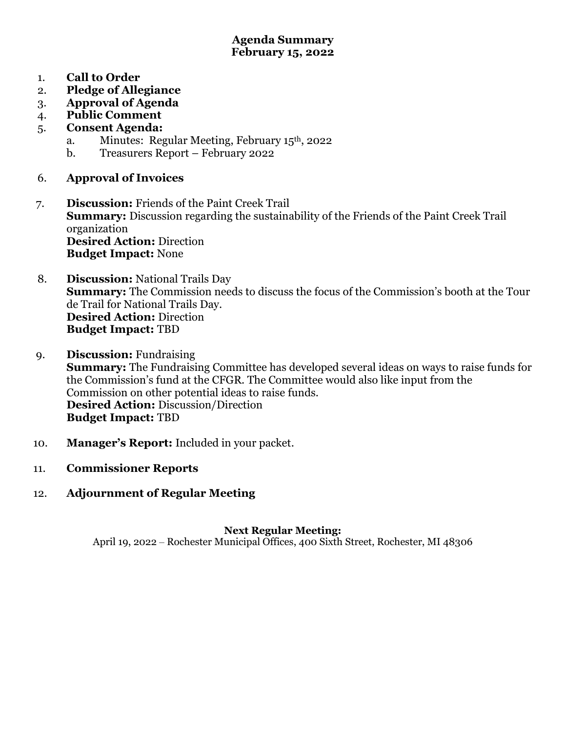### **Agenda Summary February 15, 2022**

- 1. **Call to Order**
- 2. **Pledge of Allegiance**
- 3. **Approval of Agenda**
- 4. **Public Comment**
- 5. **Consent Agenda:**
	- a. Minutes: Regular Meeting, February 15th, 2022
	- b. Treasurers Report February 2022
- 6. **Approval of Invoices**
- 7. **Discussion:** Friends of the Paint Creek Trail **Summary:** Discussion regarding the sustainability of the Friends of the Paint Creek Trail organization **Desired Action:** Direction **Budget Impact:** None
- 8. **Discussion:** National Trails Day **Summary:** The Commission needs to discuss the focus of the Commission's booth at the Tour de Trail for National Trails Day. **Desired Action:** Direction **Budget Impact:** TBD
- 9. **Discussion:** Fundraising **Summary:** The Fundraising Committee has developed several ideas on ways to raise funds for the Commission's fund at the CFGR. The Committee would also like input from the Commission on other potential ideas to raise funds. **Desired Action:** Discussion/Direction **Budget Impact:** TBD
- 10. **Manager's Report:** Included in your packet.
- 11. **Commissioner Reports**
- 12. **Adjournment of Regular Meeting**

## **Next Regular Meeting:**

April 19, 2022 – Rochester Municipal Offices, 400 Sixth Street, Rochester, MI 48306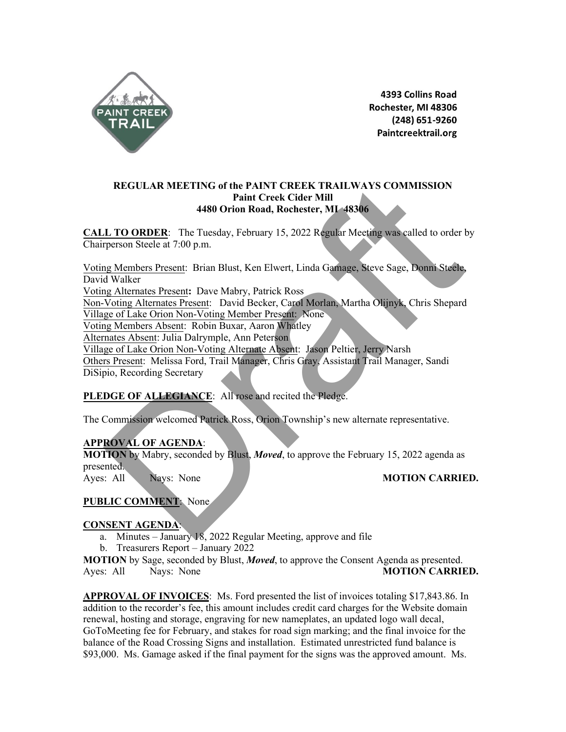

4393 Collins Road Rochester, MI 48306 (248) 651-9260 Paintcreektrail.org

### **REGULAR MEETING of the PAINT CREEK TRAILWAYS COMMISSION Paint Creek Cider Mill 4480 Orion Road, Rochester, MI 48306**

**CALL TO ORDER**: The Tuesday, February 15, 2022 Regular Meeting was called to order by Chairperson Steele at 7:00 p.m.

Voting Members Present: Brian Blust, Ken Elwert, Linda Gamage, Steve Sage, Donni Steele, David Walker Voting Alternates Present**:** Dave Mabry, Patrick Ross Non-Voting Alternates Present: David Becker, Carol Morlan, Martha Olijnyk, Chris Shepard Village of Lake Orion Non-Voting Member Present: None Voting Members Absent: Robin Buxar, Aaron Whatley Alternates Absent: Julia Dalrymple, Ann Peterson Village of Lake Orion Non-Voting Alternate Absent: Jason Peltier, Jerry Narsh REGULAR MEETING of the PAINT CREEK TRAILWAYS COMMISSION<br>
Paint Creek Gider Mill<br>
4480 Orion Road, Rochester, MI-48366<br>
17O ORDER: The Tuesday, February 15, 2022 Regular Meeting was called to order<br>
trenson Steele at 7:00 p

Others Present: Melissa Ford, Trail Manager, Chris Gray, Assistant Trail Manager, Sandi DiSipio, Recording Secretary

### PLEDGE OF ALLEGIANCE: All rose and recited the Pledge.

The Commission welcomed Patrick Ross, Orion Township's new alternate representative.

### **APPROVAL OF AGENDA**:

**MOTION** by Mabry, seconded by Blust, *Moved*, to approve the February 15, 2022 agenda as presented.

Ayes: All Nays: None **MOTION CARRIED.** 

### **PUBLIC COMMENT**: None

### **CONSENT AGENDA**:

- a. Minutes January 18, 2022 Regular Meeting, approve and file
- b. Treasurers Report January 2022

**MOTION** by Sage, seconded by Blust, *Moved*, to approve the Consent Agenda as presented. Ayes: All Nays: None **MOTION CARRIED.**

**APPROVAL OF INVOICES**: Ms. Ford presented the list of invoices totaling \$17,843.86. In addition to the recorder's fee, this amount includes credit card charges for the Website domain renewal, hosting and storage, engraving for new nameplates, an updated logo wall decal, GoToMeeting fee for February, and stakes for road sign marking; and the final invoice for the balance of the Road Crossing Signs and installation. Estimated unrestricted fund balance is \$93,000. Ms. Gamage asked if the final payment for the signs was the approved amount. Ms.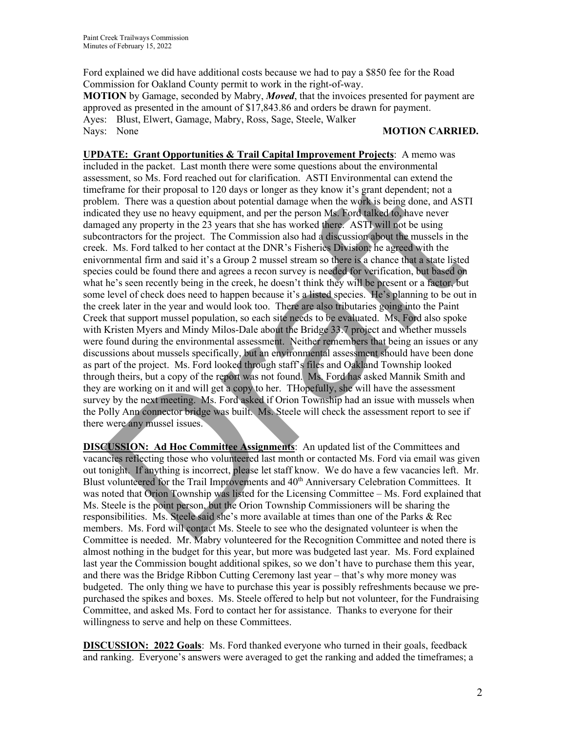Ford explained we did have additional costs because we had to pay a \$850 fee for the Road Commission for Oakland County permit to work in the right-of-way. **MOTION** by Gamage, seconded by Mabry, *Moved*, that the invoices presented for payment are approved as presented in the amount of \$17,843.86 and orders be drawn for payment. Ayes: Blust, Elwert, Gamage, Mabry, Ross, Sage, Steele, Walker Nays: None **MOTION CARRIED.**

**UPDATE: Grant Opportunities & Trail Capital Improvement Projects**: A memo was included in the packet. Last month there were some questions about the environmental assessment, so Ms. Ford reached out for clarification. ASTI Environmental can extend the timeframe for their proposal to 120 days or longer as they know it's grant dependent; not a problem. There was a question about potential damage when the work is being done, and ASTI indicated they use no heavy equipment, and per the person Ms. Ford talked to, have never damaged any property in the 23 years that she has worked there. ASTI will not be using subcontractors for the project. The Commission also had a discussion about the mussels in the creek. Ms. Ford talked to her contact at the DNR's Fisheries Division; he agreed with the enivornmental firm and said it's a Group 2 mussel stream so there is a chance that a state listed species could be found there and agrees a recon survey is needed for verification, but based on what he's seen recently being in the creek, he doesn't think they will be present or a factor, but some level of check does need to happen because it's a listed species. He's planning to be out in the creek later in the year and would look too. There are also tributaries going into the Paint Creek that support mussel population, so each site needs to be evaluated. Ms. Ford also spoke with Kristen Myers and Mindy Milos-Dale about the Bridge 33.7 project and whether mussels were found during the environmental assessment. Neither remembers that being an issues or any discussions about mussels specifically, but an environmental assessment should have been done as part of the project. Ms. Ford looked through staff's files and Oakland Township looked through theirs, but a copy of the report was not found. Ms. Ford has asked Mannik Smith and they are working on it and will get a copy to her. THopefully, she will have the assessment survey by the next meeting. Ms. Ford asked if Orion Township had an issue with mussels when the Polly Ann connector bridge was built. Ms. Steele will check the assessment report to see if there were any mussel issues. anami, so that receive and would hold the present of the Ham to the committed and so and ASI react of the present of the present of the present of the same a question about potential damage when the works is being done, an

**DISCUSSION: Ad Hoc Committee Assignments**: An updated list of the Committees and vacancies reflecting those who volunteered last month or contacted Ms. Ford via email was given out tonight. If anything is incorrect, please let staff know. We do have a few vacancies left. Mr. Blust volunteered for the Trail Improvements and 40<sup>th</sup> Anniversary Celebration Committees. It was noted that Orion Township was listed for the Licensing Committee – Ms. Ford explained that Ms. Steele is the point person, but the Orion Township Commissioners will be sharing the responsibilities. Ms. Steele said she's more available at times than one of the Parks & Rec members. Ms. Ford will contact Ms. Steele to see who the designated volunteer is when the Committee is needed. Mr. Mabry volunteered for the Recognition Committee and noted there is almost nothing in the budget for this year, but more was budgeted last year. Ms. Ford explained last year the Commission bought additional spikes, so we don't have to purchase them this year, and there was the Bridge Ribbon Cutting Ceremony last year – that's why more money was budgeted. The only thing we have to purchase this year is possibly refreshments because we prepurchased the spikes and boxes. Ms. Steele offered to help but not volunteer, for the Fundraising Committee, and asked Ms. Ford to contact her for assistance. Thanks to everyone for their willingness to serve and help on these Committees.

**DISCUSSION: 2022 Goals**: Ms. Ford thanked everyone who turned in their goals, feedback and ranking. Everyone's answers were averaged to get the ranking and added the timeframes; a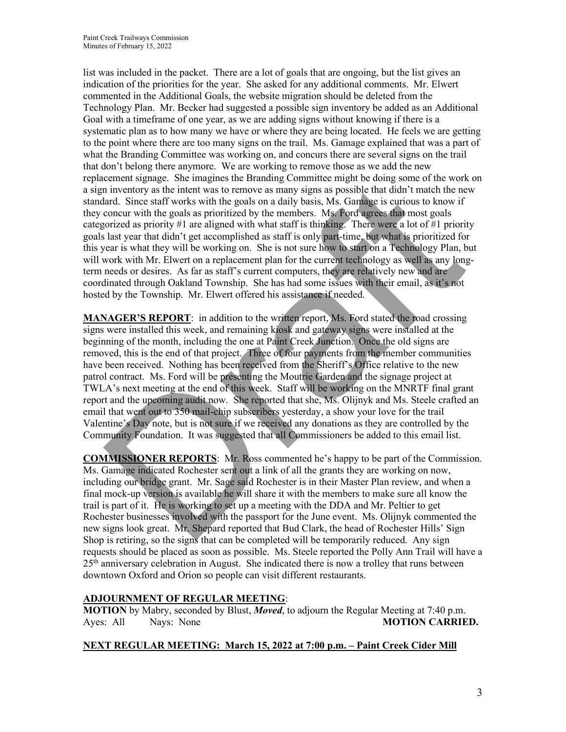list was included in the packet. There are a lot of goals that are ongoing, but the list gives an indication of the priorities for the year. She asked for any additional comments. Mr. Elwert commented in the Additional Goals, the website migration should be deleted from the Technology Plan. Mr. Becker had suggested a possible sign inventory be added as an Additional Goal with a timeframe of one year, as we are adding signs without knowing if there is a systematic plan as to how many we have or where they are being located. He feels we are getting to the point where there are too many signs on the trail. Ms. Gamage explained that was a part of what the Branding Committee was working on, and concurs there are several signs on the trail that don't belong there anymore. We are working to remove those as we add the new replacement signage. She imagines the Branding Committee might be doing some of the work on a sign inventory as the intent was to remove as many signs as possible that didn't match the new standard. Since staff works with the goals on a daily basis, Ms. Gamage is curious to know if they concur with the goals as prioritized by the members. Ms. Ford agrees that most goals categorized as priority #1 are aligned with what staff is thinking. There were a lot of #1 priority goals last year that didn't get accomplished as staff is only part-time, but what is prioritized for this year is what they will be working on. She is not sure how to start on a Technology Plan, but will work with Mr. Elwert on a replacement plan for the current technology as well as any longterm needs or desires. As far as staff's current computers, they are relatively new and are coordinated through Oakland Township. She has had some issues with their email, as it's not hosted by the Township. Mr. Elwert offered his assistance if needed.

**MANAGER'S REPORT**: in addition to the written report, Ms. Ford stated the road crossing signs were installed this week, and remaining kiosk and gateway signs were installed at the beginning of the month, including the one at Paint Creek Junction. Once the old signs are removed, this is the end of that project. Three of four payments from the member communities have been received. Nothing has been received from the Sheriff's Office relative to the new patrol contract. Ms. Ford will be presenting the Moutrie Garden and the signage project at TWLA's next meeting at the end of this week. Staff will be working on the MNRTF final grant report and the upcoming audit now. She reported that she, Ms. Olijnyk and Ms. Steele crafted an email that went out to 350 mail-chip subscribers yesterday, a show your love for the trail Valentine's Day note, but is not sure if we received any donations as they are controlled by the Community Foundation. It was suggested that all Commissioners be added to this email list. contraining in: on integrals are intending countered to make the consideration in inventory as the intent was to enrow as many signs as possible that didn't match the near<br>fard. Since staff works with the goals on a daily

**COMMISSIONER REPORTS**: Mr. Ross commented he's happy to be part of the Commission. Ms. Gamage indicated Rochester sent out a link of all the grants they are working on now, including our bridge grant. Mr. Sage said Rochester is in their Master Plan review, and when a final mock-up version is available he will share it with the members to make sure all know the trail is part of it. He is working to set up a meeting with the DDA and Mr. Peltier to get Rochester businesses involved with the passport for the June event. Ms. Olijnyk commented the new signs look great. Mr. Shepard reported that Bud Clark, the head of Rochester Hills' Sign Shop is retiring, so the signs that can be completed will be temporarily reduced. Any sign requests should be placed as soon as possible. Ms. Steele reported the Polly Ann Trail will have a  $25<sup>th</sup>$  anniversary celebration in August. She indicated there is now a trolley that runs between downtown Oxford and Orion so people can visit different restaurants.

### **ADJOURNMENT OF REGULAR MEETING**:

**MOTION** by Mabry, seconded by Blust, *Moved*, to adjourn the Regular Meeting at 7:40 p.m. Ayes: All Nays: None **MOTION CARRIED.** 

### **NEXT REGULAR MEETING: March 15, 2022 at 7:00 p.m. – Paint Creek Cider Mill**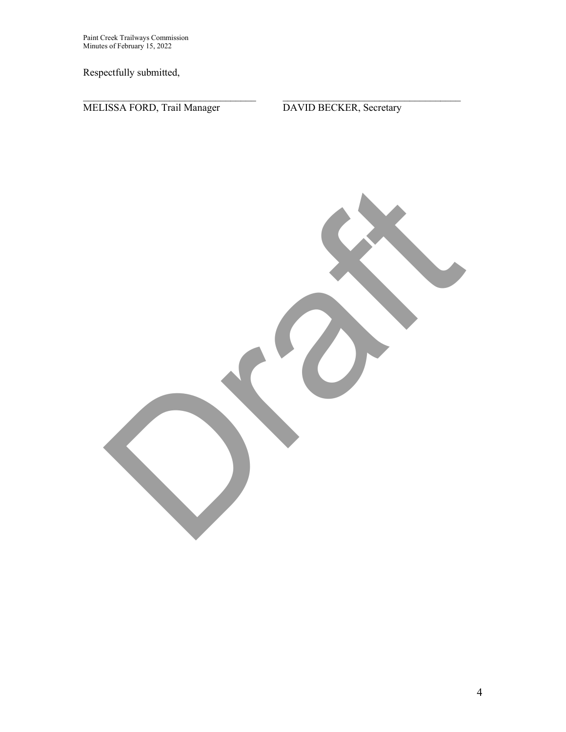Paint Creek Trailways Commission Minutes of February 15, 2022

Respectfully submitted,

MELISSA FORD, Trail Manager DAVID BECKER, Secretary

Oran

 $\_$  , and the contribution of the contribution of  $\mathcal{L}_\mathcal{A}$  , and the contribution of  $\mathcal{L}_\mathcal{A}$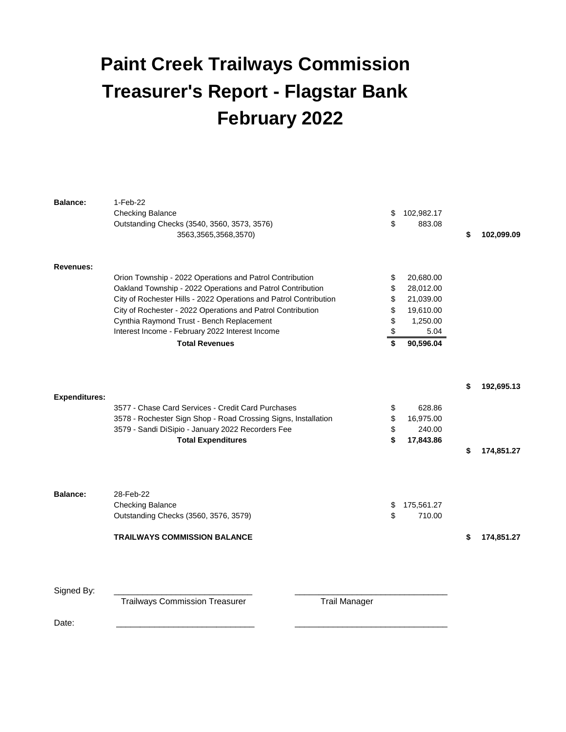## **Paint Creek Trailways Commission Treasurer's Report - Flagstar Bank February 2022**

| <b>Balance:</b>      | 1-Feb-22                                                          |                  |                  |
|----------------------|-------------------------------------------------------------------|------------------|------------------|
|                      | <b>Checking Balance</b>                                           | \$<br>102,982.17 |                  |
|                      | Outstanding Checks (3540, 3560, 3573, 3576)                       | \$<br>883.08     |                  |
|                      | 3563,3565,3568,3570)                                              |                  | \$<br>102,099.09 |
| <b>Revenues:</b>     |                                                                   |                  |                  |
|                      | Orion Township - 2022 Operations and Patrol Contribution          | \$<br>20,680.00  |                  |
|                      | Oakland Township - 2022 Operations and Patrol Contribution        | \$<br>28,012.00  |                  |
|                      | City of Rochester Hills - 2022 Operations and Patrol Contribution | \$<br>21,039.00  |                  |
|                      | City of Rochester - 2022 Operations and Patrol Contribution       | \$<br>19,610.00  |                  |
|                      | Cynthia Raymond Trust - Bench Replacement                         | \$<br>1,250.00   |                  |
|                      | Interest Income - February 2022 Interest Income                   | \$<br>5.04       |                  |
|                      | <b>Total Revenues</b>                                             | \$<br>90,596.04  |                  |
|                      |                                                                   |                  | \$<br>192,695.13 |
| <b>Expenditures:</b> |                                                                   |                  |                  |
|                      | 3577 - Chase Card Services - Credit Card Purchases                | \$<br>628.86     |                  |
|                      | 3578 - Rochester Sign Shop - Road Crossing Signs, Installation    | \$<br>16,975.00  |                  |
|                      | 3579 - Sandi DiSipio - January 2022 Recorders Fee                 | \$<br>240.00     |                  |
|                      | <b>Total Expenditures</b>                                         | \$<br>17,843.86  |                  |
|                      |                                                                   |                  | \$<br>174,851.27 |
|                      |                                                                   |                  |                  |
| <b>Balance:</b>      | 28-Feb-22                                                         |                  |                  |
|                      | <b>Checking Balance</b>                                           | \$<br>175,561.27 |                  |
|                      | Outstanding Checks (3560, 3576, 3579)                             | \$<br>710.00     |                  |
|                      | <b>TRAILWAYS COMMISSION BALANCE</b>                               |                  | \$<br>174,851.27 |
|                      |                                                                   |                  |                  |
| Signed By:           |                                                                   |                  |                  |
|                      | <b>Trailways Commission Treasurer</b><br><b>Trail Manager</b>     |                  |                  |
| Date:                |                                                                   |                  |                  |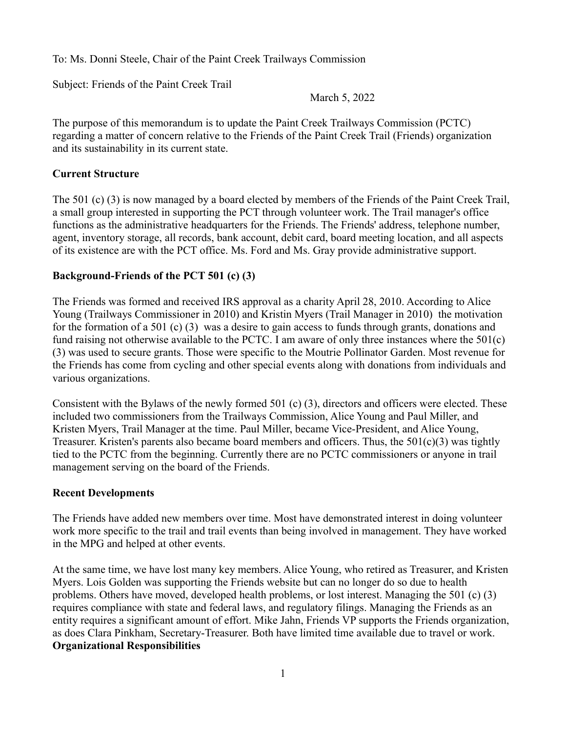To: Ms. Donni Steele, Chair of the Paint Creek Trailways Commission

Subject: Friends of the Paint Creek Trail

March 5, 2022

The purpose of this memorandum is to update the Paint Creek Trailways Commission (PCTC) regarding a matter of concern relative to the Friends of the Paint Creek Trail (Friends) organization and its sustainability in its current state.

### **Current Structure**

The 501 (c) (3) is now managed by a board elected by members of the Friends of the Paint Creek Trail, a small group interested in supporting the PCT through volunteer work. The Trail manager's office functions as the administrative headquarters for the Friends. The Friends' address, telephone number, agent, inventory storage, all records, bank account, debit card, board meeting location, and all aspects of its existence are with the PCT office. Ms. Ford and Ms. Gray provide administrative support.

### **Background-Friends of the PCT 501 (c) (3)**

The Friends was formed and received IRS approval as a charity April 28, 2010. According to Alice Young (Trailways Commissioner in 2010) and Kristin Myers (Trail Manager in 2010) the motivation for the formation of a 501 (c) (3) was a desire to gain access to funds through grants, donations and fund raising not otherwise available to the PCTC. I am aware of only three instances where the 501(c) (3) was used to secure grants. Those were specific to the Moutrie Pollinator Garden. Most revenue for the Friends has come from cycling and other special events along with donations from individuals and various organizations.

Consistent with the Bylaws of the newly formed 501 (c) (3), directors and officers were elected. These included two commissioners from the Trailways Commission, Alice Young and Paul Miller, and Kristen Myers, Trail Manager at the time. Paul Miller, became Vice-President, and Alice Young, Treasurer. Kristen's parents also became board members and officers. Thus, the  $501(c)(3)$  was tightly tied to the PCTC from the beginning. Currently there are no PCTC commissioners or anyone in trail management serving on the board of the Friends.

### **Recent Developments**

The Friends have added new members over time. Most have demonstrated interest in doing volunteer work more specific to the trail and trail events than being involved in management. They have worked in the MPG and helped at other events.

At the same time, we have lost many key members. Alice Young, who retired as Treasurer, and Kristen Myers. Lois Golden was supporting the Friends website but can no longer do so due to health problems. Others have moved, developed health problems, or lost interest. Managing the 501 (c) (3) requires compliance with state and federal laws, and regulatory filings. Managing the Friends as an entity requires a significant amount of effort. Mike Jahn, Friends VP supports the Friends organization, as does Clara Pinkham, Secretary-Treasurer. Both have limited time available due to travel or work. **Organizational Responsibilities**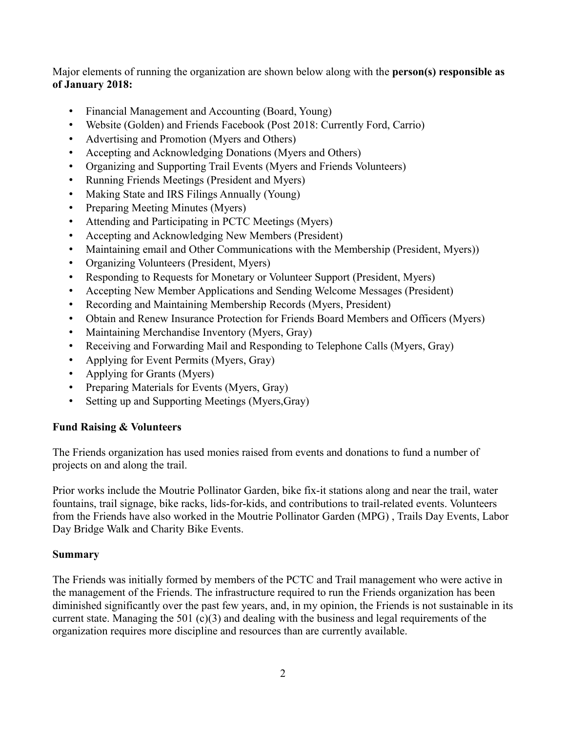Major elements of running the organization are shown below along with the **person(s) responsible as of January 2018:**

- Financial Management and Accounting (Board, Young)
- Website (Golden) and Friends Facebook (Post 2018: Currently Ford, Carrio)
- Advertising and Promotion (Myers and Others)
- Accepting and Acknowledging Donations (Myers and Others)
- Organizing and Supporting Trail Events (Myers and Friends Volunteers)
- Running Friends Meetings (President and Myers)
- Making State and IRS Filings Annually (Young)
- Preparing Meeting Minutes (Myers)
- Attending and Participating in PCTC Meetings (Myers)
- Accepting and Acknowledging New Members (President)
- Maintaining email and Other Communications with the Membership (President, Myers))
- Organizing Volunteers (President, Myers)
- Responding to Requests for Monetary or Volunteer Support (President, Myers)
- Accepting New Member Applications and Sending Welcome Messages (President)
- Recording and Maintaining Membership Records (Myers, President)
- Obtain and Renew Insurance Protection for Friends Board Members and Officers (Myers)
- Maintaining Merchandise Inventory (Myers, Gray)
- Receiving and Forwarding Mail and Responding to Telephone Calls (Myers, Gray)
- Applying for Event Permits (Myers, Gray)
- Applying for Grants (Myers)
- Preparing Materials for Events (Myers, Gray)
- Setting up and Supporting Meetings (Myers,Gray)

### **Fund Raising & Volunteers**

The Friends organization has used monies raised from events and donations to fund a number of projects on and along the trail.

Prior works include the Moutrie Pollinator Garden, bike fix-it stations along and near the trail, water fountains, trail signage, bike racks, lids-for-kids, and contributions to trail-related events. Volunteers from the Friends have also worked in the Moutrie Pollinator Garden (MPG) , Trails Day Events, Labor Day Bridge Walk and Charity Bike Events.

### **Summary**

The Friends was initially formed by members of the PCTC and Trail management who were active in the management of the Friends. The infrastructure required to run the Friends organization has been diminished significantly over the past few years, and, in my opinion, the Friends is not sustainable in its current state. Managing the 501  $(c)(3)$  and dealing with the business and legal requirements of the organization requires more discipline and resources than are currently available.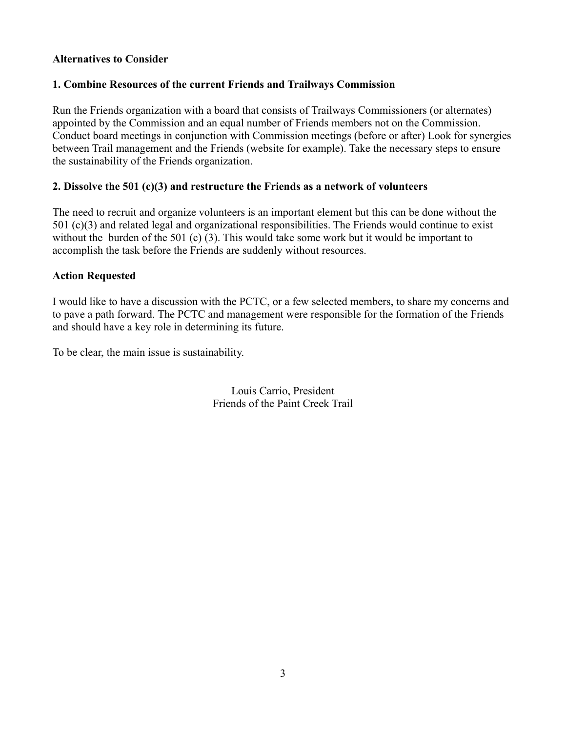### **Alternatives to Consider**

### **1. Combine Resources of the current Friends and Trailways Commission**

Run the Friends organization with a board that consists of Trailways Commissioners (or alternates) appointed by the Commission and an equal number of Friends members not on the Commission. Conduct board meetings in conjunction with Commission meetings (before or after) Look for synergies between Trail management and the Friends (website for example). Take the necessary steps to ensure the sustainability of the Friends organization.

### **2. Dissolve the 501 (c)(3) and restructure the Friends as a network of volunteers**

The need to recruit and organize volunteers is an important element but this can be done without the 501 (c)(3) and related legal and organizational responsibilities. The Friends would continue to exist without the burden of the 501 (c) (3). This would take some work but it would be important to accomplish the task before the Friends are suddenly without resources.

### **Action Requested**

I would like to have a discussion with the PCTC, or a few selected members, to share my concerns and to pave a path forward. The PCTC and management were responsible for the formation of the Friends and should have a key role in determining its future.

To be clear, the main issue is sustainability.

Louis Carrio, President Friends of the Paint Creek Trail